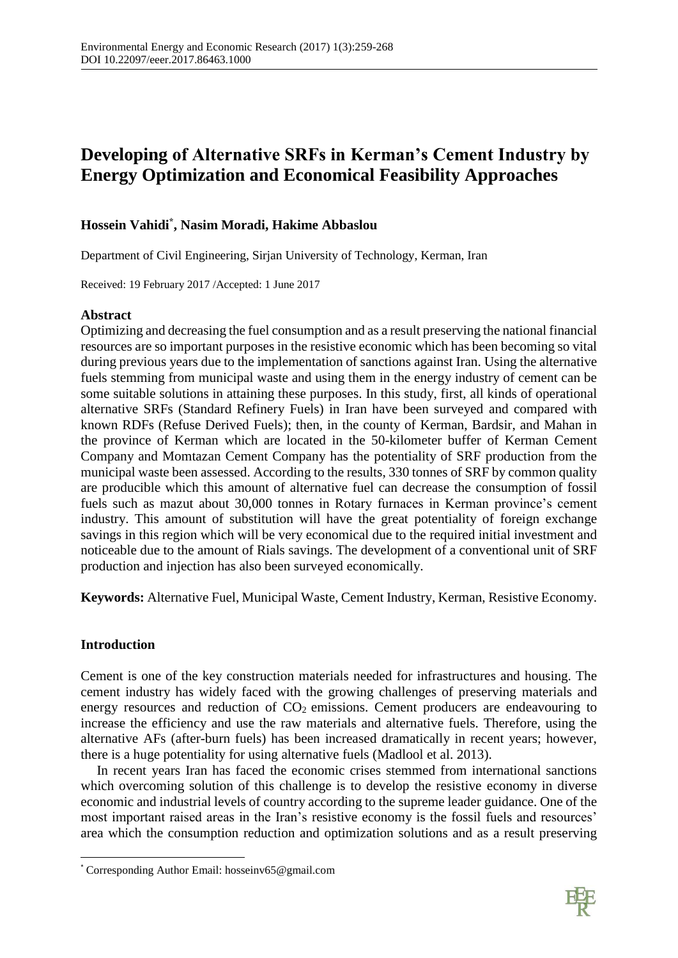# **Developing of Alternative SRFs in Kerman's Cement Industry by Energy Optimization and Economical Feasibility Approaches**

# **Hossein Vahidi\* , Nasim Moradi, Hakime Abbaslou**

Department of Civil Engineering, Sirjan University of Technology, Kerman, Iran

Received: 19 February 2017 /Accepted: 1 June 2017

## **Abstract**

Optimizing and decreasing the fuel consumption and as a result preserving the national financial resources are so important purposes in the resistive economic which has been becoming so vital during previous years due to the implementation of sanctions against Iran. Using the alternative fuels stemming from municipal waste and using them in the energy industry of cement can be some suitable solutions in attaining these purposes. In this study, first, all kinds of operational alternative SRFs (Standard Refinery Fuels) in Iran have been surveyed and compared with known RDFs (Refuse Derived Fuels); then, in the county of Kerman, Bardsir, and Mahan in the province of Kerman which are located in the 50-kilometer buffer of Kerman Cement Company and Momtazan Cement Company has the potentiality of SRF production from the municipal waste been assessed. According to the results, 330 tonnes of SRF by common quality are producible which this amount of alternative fuel can decrease the consumption of fossil fuels such as mazut about 30,000 tonnes in Rotary furnaces in Kerman province's cement industry. This amount of substitution will have the great potentiality of foreign exchange savings in this region which will be very economical due to the required initial investment and noticeable due to the amount of Rials savings. The development of a conventional unit of SRF production and injection has also been surveyed economically.

**Keywords:** Alternative Fuel, Municipal Waste, Cement Industry, Kerman, Resistive Economy.

## **Introduction**

 $\overline{\phantom{a}}$ 

Cement is one of the key construction materials needed for infrastructures and housing. The cement industry has widely faced with the growing challenges of preserving materials and energy resources and reduction of  $CO<sub>2</sub>$  emissions. Cement producers are endeavouring to increase the efficiency and use the raw materials and alternative fuels. Therefore, using the alternative AFs (after-burn fuels) has been increased dramatically in recent years; however, there is a huge potentiality for using alternative fuels (Madlool et al. 2013).

In recent years Iran has faced the economic crises stemmed from international sanctions which overcoming solution of this challenge is to develop the resistive economy in diverse economic and industrial levels of country according to the supreme leader guidance. One of the most important raised areas in the Iran's resistive economy is the fossil fuels and resources' area which the consumption reduction and optimization solutions and as a result preserving



<sup>\*</sup> Corresponding Author Email: hosseinv65@gmail.com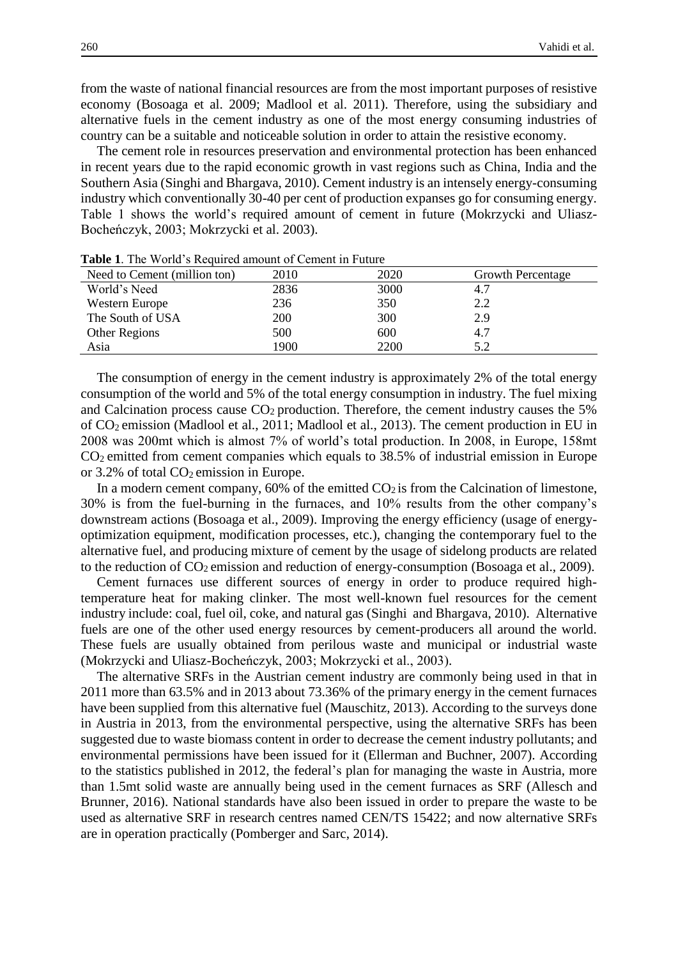from the waste of national financial resources are from the most important purposes of resistive economy (Bosoaga et al. 2009; Madlool et al. 2011). Therefore, using the subsidiary and alternative fuels in the cement industry as one of the most energy consuming industries of country can be a suitable and noticeable solution in order to attain the resistive economy.

The cement role in resources preservation and environmental protection has been enhanced in recent years due to the rapid economic growth in vast regions such as China, India and the Southern Asia (Singhi and Bhargava, 2010). Cement industry is an intensely energy-consuming industry which conventionally 30-40 per cent of production expanses go for consuming energy. Table 1 shows the world's required amount of cement in future (Mokrzycki and Uliasz-Bocheńczyk, 2003; Mokrzycki et al. 2003).

| Tuble 1. The Wolld Blieguiled allowill of center in I algeb |      |      |                          |
|-------------------------------------------------------------|------|------|--------------------------|
| Need to Cement (million ton)                                | 2010 | 2020 | <b>Growth Percentage</b> |
| World's Need                                                | 2836 | 3000 | 4.7                      |
| <b>Western Europe</b>                                       | 236  | 350  | 2.2                      |
| The South of USA                                            | 200  | 300  | 2.9                      |
| <b>Other Regions</b>                                        | 500  | 600  | 4.7                      |
| Asia                                                        | 1900 | 2200 | 5.2                      |

**Table 1**. The World's Required amount of Cement in Future

The consumption of energy in the cement industry is approximately 2% of the total energy consumption of the world and 5% of the total energy consumption in industry. The fuel mixing and Calcination process cause  $CO<sub>2</sub>$  production. Therefore, the cement industry causes the 5% of CO2 emission (Madlool et al., 2011; Madlool et al., 2013). The cement production in EU in 2008 was 200mt which is almost 7% of world's total production. In 2008, in Europe, 158mt CO2 emitted from cement companies which equals to 38.5% of industrial emission in Europe or  $3.2\%$  of total  $CO<sub>2</sub>$  emission in Europe.

In a modern cement company,  $60\%$  of the emitted  $CO<sub>2</sub>$  is from the Calcination of limestone, 30% is from the fuel-burning in the furnaces, and 10% results from the other company's downstream actions (Bosoaga et al., 2009). Improving the energy efficiency (usage of energyoptimization equipment, modification processes, etc.), changing the contemporary fuel to the alternative fuel, and producing mixture of cement by the usage of sidelong products are related to the reduction of CO2 emission and reduction of energy-consumption (Bosoaga et al., 2009).

Cement furnaces use different sources of energy in order to produce required hightemperature heat for making clinker. The most well-known fuel resources for the cement industry include: coal, fuel oil, coke, and natural gas (Singhi and Bhargava, 2010). Alternative fuels are one of the other used energy resources by cement-producers all around the world. These fuels are usually obtained from perilous waste and municipal or industrial waste (Mokrzycki and Uliasz-Bocheńczyk, 2003; Mokrzycki et al., 2003).

The alternative SRFs in the Austrian cement industry are commonly being used in that in 2011 more than 63.5% and in 2013 about 73.36% of the primary energy in the cement furnaces have been supplied from this alternative fuel (Mauschitz, 2013). According to the surveys done in Austria in 2013, from the environmental perspective, using the alternative SRFs has been suggested due to waste biomass content in order to decrease the cement industry pollutants; and environmental permissions have been issued for it (Ellerman and Buchner, 2007). According to the statistics published in 2012, the federal's plan for managing the waste in Austria, more than 1.5mt solid waste are annually being used in the cement furnaces as SRF (Allesch and Brunner, 2016). National standards have also been issued in order to prepare the waste to be used as alternative SRF in research centres named CEN/TS 15422; and now alternative SRFs are in operation practically (Pomberger and Sarc, 2014).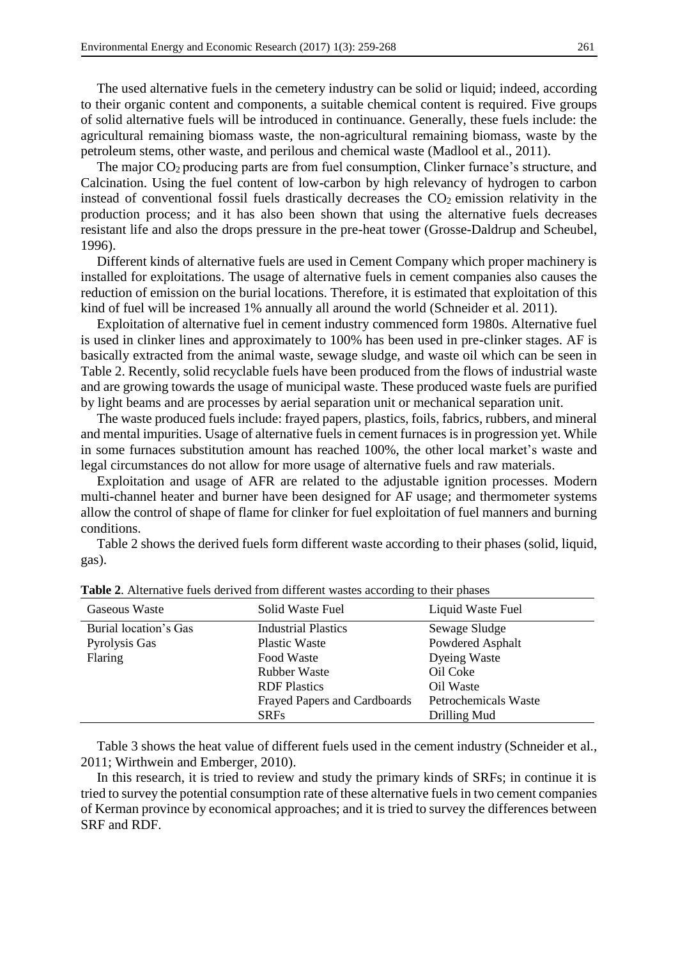The used alternative fuels in the cemetery industry can be solid or liquid; indeed, according to their organic content and components, a suitable chemical content is required. Five groups of solid alternative fuels will be introduced in continuance. Generally, these fuels include: the agricultural remaining biomass waste, the non-agricultural remaining biomass, waste by the petroleum stems, other waste, and perilous and chemical waste (Madlool et al., 2011).

The major  $CO<sub>2</sub>$  producing parts are from fuel consumption, Clinker furnace's structure, and Calcination. Using the fuel content of low-carbon by high relevancy of hydrogen to carbon instead of conventional fossil fuels drastically decreases the  $CO<sub>2</sub>$  emission relativity in the production process; and it has also been shown that using the alternative fuels decreases resistant life and also the drops pressure in the pre-heat tower (Grosse-Daldrup and Scheubel, 1996).

Different kinds of alternative fuels are used in Cement Company which proper machinery is installed for exploitations. The usage of alternative fuels in cement companies also causes the reduction of emission on the burial locations. Therefore, it is estimated that exploitation of this kind of fuel will be increased 1% annually all around the world (Schneider et al. 2011).

Exploitation of alternative fuel in cement industry commenced form 1980s. Alternative fuel is used in clinker lines and approximately to 100% has been used in pre-clinker stages. AF is basically extracted from the animal waste, sewage sludge, and waste oil which can be seen in Table 2. Recently, solid recyclable fuels have been produced from the flows of industrial waste and are growing towards the usage of municipal waste. These produced waste fuels are purified by light beams and are processes by aerial separation unit or mechanical separation unit.

The waste produced fuels include: frayed papers, plastics, foils, fabrics, rubbers, and mineral and mental impurities. Usage of alternative fuels in cement furnaces is in progression yet. While in some furnaces substitution amount has reached 100%, the other local market's waste and legal circumstances do not allow for more usage of alternative fuels and raw materials.

Exploitation and usage of AFR are related to the adjustable ignition processes. Modern multi-channel heater and burner have been designed for AF usage; and thermometer systems allow the control of shape of flame for clinker for fuel exploitation of fuel manners and burning conditions.

Table 2 shows the derived fuels form different waste according to their phases (solid, liquid, gas).

| Gaseous Waste         | Solid Waste Fuel                    | Liquid Waste Fuel    |
|-----------------------|-------------------------------------|----------------------|
| Burial location's Gas | <b>Industrial Plastics</b>          | Sewage Sludge        |
| Pyrolysis Gas         | <b>Plastic Waste</b>                | Powdered Asphalt     |
| Flaring               | Food Waste                          | Dyeing Waste         |
|                       | <b>Rubber Waste</b>                 | Oil Coke             |
|                       | <b>RDF</b> Plastics                 | Oil Waste            |
|                       | <b>Frayed Papers and Cardboards</b> | Petrochemicals Waste |
|                       | <b>SRFs</b>                         | Drilling Mud         |

**Table 2**. Alternative fuels derived from different wastes according to their phases

Table 3 shows the heat value of different fuels used in the cement industry (Schneider et al., 2011; Wirthwein and Emberger, 2010).

In this research, it is tried to review and study the primary kinds of SRFs; in continue it is tried to survey the potential consumption rate of these alternative fuels in two cement companies of Kerman province by economical approaches; and it is tried to survey the differences between SRF and RDF.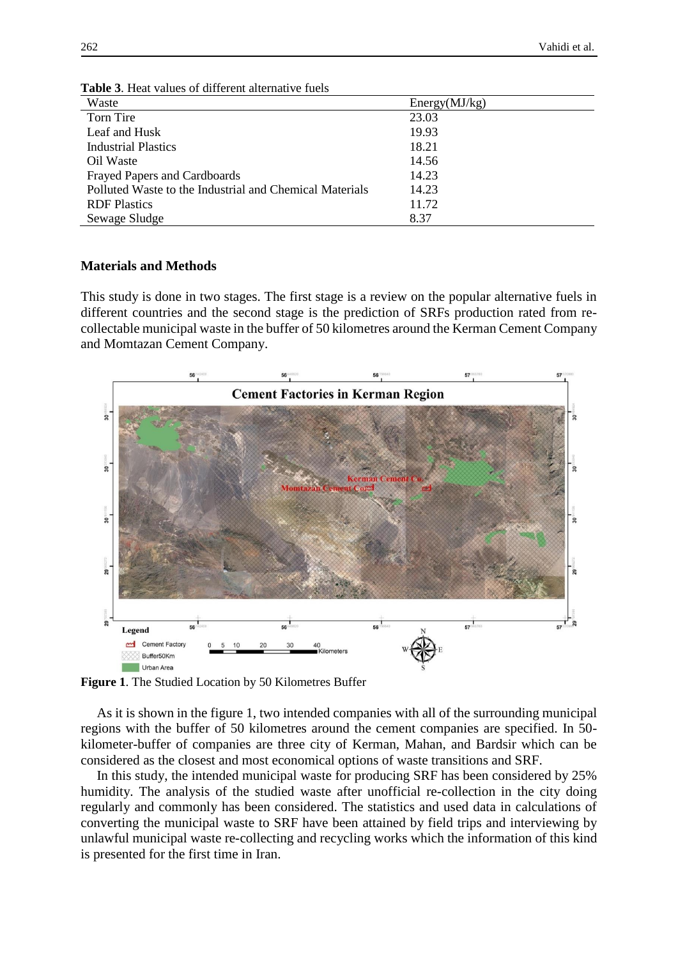| Waste                                                   | Energy(MJ/kg) |
|---------------------------------------------------------|---------------|
| Torn Tire                                               | 23.03         |
| Leaf and Husk                                           | 19.93         |
| <b>Industrial Plastics</b>                              | 18.21         |
| Oil Waste                                               | 14.56         |
| <b>Frayed Papers and Cardboards</b>                     | 14.23         |
| Polluted Waste to the Industrial and Chemical Materials | 14.23         |
| <b>RDF</b> Plastics                                     | 11.72         |
| Sewage Sludge                                           | 8.37          |

**Table 3**. Heat values of different alternative fuels

#### **Materials and Methods**

This study is done in two stages. The first stage is a review on the popular alternative fuels in different countries and the second stage is the prediction of SRFs production rated from recollectable municipal waste in the buffer of 50 kilometres around the Kerman Cement Company and Momtazan Cement Company.



**Figure 1**. The Studied Location by 50 Kilometres Buffer

As it is shown in the figure 1, two intended companies with all of the surrounding municipal regions with the buffer of 50 kilometres around the cement companies are specified. In 50 kilometer-buffer of companies are three city of Kerman, Mahan, and Bardsir which can be considered as the closest and most economical options of waste transitions and SRF.

In this study, the intended municipal waste for producing SRF has been considered by 25% humidity. The analysis of the studied waste after unofficial re-collection in the city doing regularly and commonly has been considered. The statistics and used data in calculations of converting the municipal waste to SRF have been attained by field trips and interviewing by unlawful municipal waste re-collecting and recycling works which the information of this kind is presented for the first time in Iran.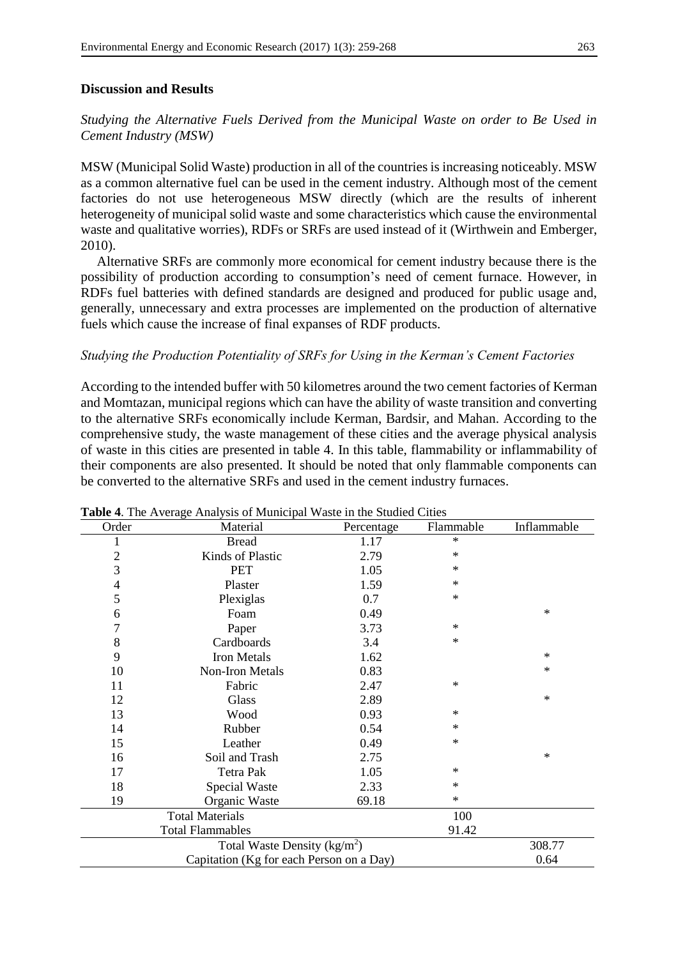#### **Discussion and Results**

*Studying the Alternative Fuels Derived from the Municipal Waste on order to Be Used in Cement Industry (MSW)*

MSW (Municipal Solid Waste) production in all of the countries is increasing noticeably. MSW as a common alternative fuel can be used in the cement industry. Although most of the cement factories do not use heterogeneous MSW directly (which are the results of inherent heterogeneity of municipal solid waste and some characteristics which cause the environmental waste and qualitative worries), RDFs or SRFs are used instead of it (Wirthwein and Emberger, 2010).

Alternative SRFs are commonly more economical for cement industry because there is the possibility of production according to consumption's need of cement furnace. However, in RDFs fuel batteries with defined standards are designed and produced for public usage and, generally, unnecessary and extra processes are implemented on the production of alternative fuels which cause the increase of final expanses of RDF products.

#### *Studying the Production Potentiality of SRFs for Using in the Kerman's Cement Factories*

According to the intended buffer with 50 kilometres around the two cement factories of Kerman and Momtazan, municipal regions which can have the ability of waste transition and converting to the alternative SRFs economically include Kerman, Bardsir, and Mahan. According to the comprehensive study, the waste management of these cities and the average physical analysis of waste in this cities are presented in table 4. In this table, flammability or inflammability of their components are also presented. It should be noted that only flammable components can be converted to the alternative SRFs and used in the cement industry furnaces.

| Order          | Material               | Percentage | Flammable | Inflammable |
|----------------|------------------------|------------|-----------|-------------|
| 1              | <b>Bread</b>           | 1.17       | $\ast$    |             |
| $\overline{2}$ | Kinds of Plastic       | 2.79       | $\ast$    |             |
| 3              | <b>PET</b>             | 1.05       | $\ast$    |             |
| 4              | Plaster                | 1.59       | $\ast$    |             |
| 5              | Plexiglas              | 0.7        | $\ast$    |             |
| 6              | Foam                   | 0.49       |           | $\ast$      |
| 7              | Paper                  | 3.73       | $\ast$    |             |
| 8              | Cardboards             | 3.4        | $\ast$    |             |
| 9              | <b>Iron Metals</b>     | 1.62       |           | $\ast$      |
| 10             | Non-Iron Metals        | 0.83       |           | $\ast$      |
| 11             | Fabric                 | 2.47       | $\ast$    |             |
| 12             | Glass                  | 2.89       |           | $\ast$      |
| 13             | Wood                   | 0.93       | $\ast$    |             |
| 14             | Rubber                 | 0.54       | $\ast$    |             |
| 15             | Leather                | 0.49       | $\ast$    |             |
| 16             | Soil and Trash         | 2.75       |           | $\ast$      |
| 17             | <b>Tetra Pak</b>       | 1.05       | $\ast$    |             |
| 18             | Special Waste          | 2.33       | $\ast$    |             |
| 19             | Organic Waste          | 69.18      | $\ast$    |             |
|                | <b>Total Materials</b> |            | 100       |             |
|                |                        |            |           |             |
|                | 308.77                 |            |           |             |
|                | 0.64                   |            |           |             |

**Table 4**. The Average Analysis of Municipal Waste in the Studied Cities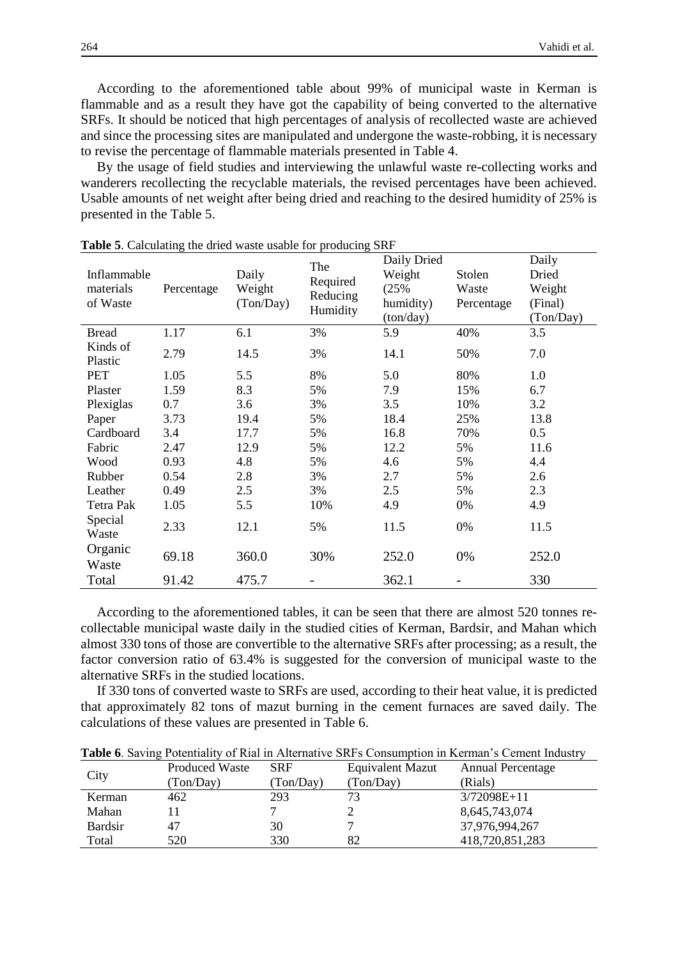According to the aforementioned table about 99% of municipal waste in Kerman is flammable and as a result they have got the capability of being converted to the alternative SRFs. It should be noticed that high percentages of analysis of recollected waste are achieved and since the processing sites are manipulated and undergone the waste-robbing, it is necessary to revise the percentage of flammable materials presented in Table 4.

By the usage of field studies and interviewing the unlawful waste re-collecting works and wanderers recollecting the recyclable materials, the revised percentages have been achieved. Usable amounts of net weight after being dried and reaching to the desired humidity of 25% is presented in the Table 5.

| Inflammable<br>materials<br>of Waste | Percentage | Daily<br>Weight<br>(Ton/Day) | The<br>Required<br>Reducing<br>Humidity | Daily Dried<br>Weight<br>(25%<br>humidity)<br>(ton/day) | Stolen<br>Waste<br>Percentage | Daily<br>Dried<br>Weight<br>(Final)<br>(Ton/Day) |
|--------------------------------------|------------|------------------------------|-----------------------------------------|---------------------------------------------------------|-------------------------------|--------------------------------------------------|
| <b>Bread</b>                         | 1.17       | 6.1                          | 3%                                      | 5.9                                                     | 40%                           | 3.5                                              |
| Kinds of<br>Plastic                  | 2.79       | 14.5                         | 3%                                      | 14.1                                                    | 50%                           | 7.0                                              |
| <b>PET</b>                           | 1.05       | 5.5                          | 8%                                      | 5.0                                                     | 80%                           | 1.0                                              |
| Plaster                              | 1.59       | 8.3                          | 5%                                      | 7.9                                                     | 15%                           | 6.7                                              |
| Plexiglas                            | 0.7        | 3.6                          | 3%                                      | 3.5                                                     | 10%                           | 3.2                                              |
| Paper                                | 3.73       | 19.4                         | 5%                                      | 18.4                                                    | 25%                           | 13.8                                             |
| Cardboard                            | 3.4        | 17.7                         | 5%                                      | 16.8                                                    | 70%                           | 0.5                                              |
| Fabric                               | 2.47       | 12.9                         | 5%                                      | 12.2                                                    | 5%                            | 11.6                                             |
| Wood                                 | 0.93       | 4.8                          | 5%                                      | 4.6                                                     | 5%                            | 4.4                                              |
| Rubber                               | 0.54       | 2.8                          | 3%                                      | 2.7                                                     | 5%                            | 2.6                                              |
| Leather                              | 0.49       | 2.5                          | 3%                                      | 2.5                                                     | 5%                            | 2.3                                              |
| Tetra Pak                            | 1.05       | 5.5                          | 10%                                     | 4.9                                                     | 0%                            | 4.9                                              |
| Special<br>Waste                     | 2.33       | 12.1                         | 5%                                      | 11.5                                                    | 0%                            | 11.5                                             |
| Organic<br>Waste                     | 69.18      | 360.0                        | 30%                                     | 252.0                                                   | 0%                            | 252.0                                            |
| Total                                | 91.42      | 475.7                        |                                         | 362.1                                                   |                               | 330                                              |

**Table 5**. Calculating the dried waste usable for producing SRF

According to the aforementioned tables, it can be seen that there are almost 520 tonnes recollectable municipal waste daily in the studied cities of Kerman, Bardsir, and Mahan which almost 330 tons of those are convertible to the alternative SRFs after processing; as a result, the factor conversion ratio of 63.4% is suggested for the conversion of municipal waste to the alternative SRFs in the studied locations.

If 330 tons of converted waste to SRFs are used, according to their heat value, it is predicted that approximately 82 tons of mazut burning in the cement furnaces are saved daily. The calculations of these values are presented in Table 6.

|  | <b>Table 6.</b> Saving Potentiality of Rial in Alternative SRFs Consumption in Kerman's Cement Industry |  |  |  |  |
|--|---------------------------------------------------------------------------------------------------------|--|--|--|--|
|  |                                                                                                         |  |  |  |  |

|                | Produced Waste | <b>SRF</b> | <b>Equivalent Mazut</b> | <b>Annual Percentage</b> |
|----------------|----------------|------------|-------------------------|--------------------------|
| City           | (Ton/Day)      | (Ton/Day)  | (Ton/Day)               | (Rials)                  |
| Kerman         | 462            | 293        |                         | $3/72098E+11$            |
| Mahan          |                |            |                         | 8,645,743,074            |
| <b>Bardsir</b> | 47             | 30         |                         | 37,976,994,267           |
| Total          | 520            | 330        | 82                      | 418,720,851,283          |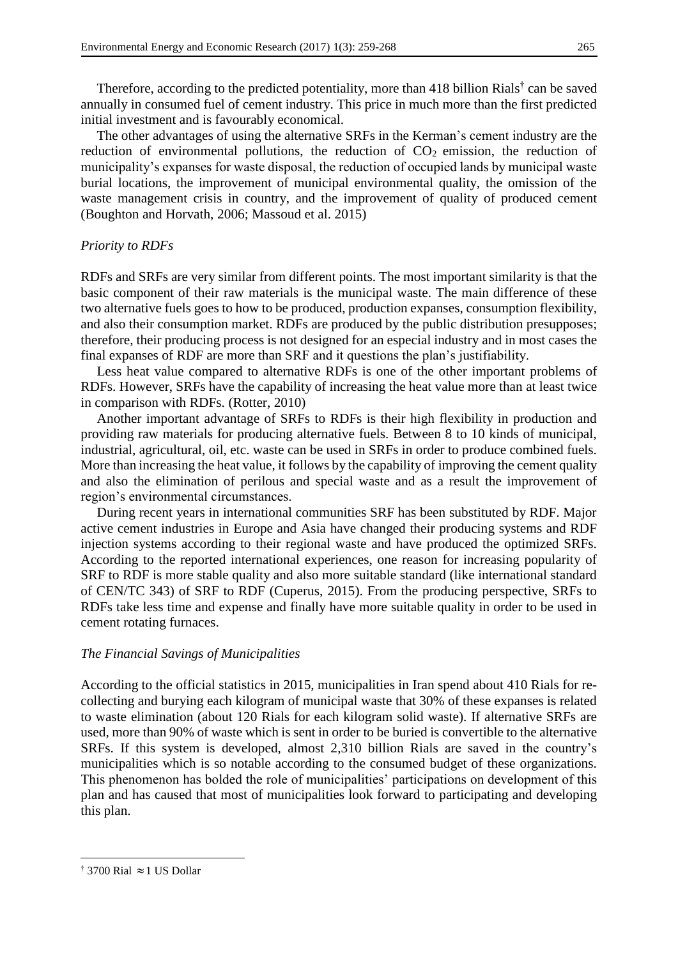Therefore, according to the predicted potentiality, more than 418 billion Rials<sup>†</sup> can be saved annually in consumed fuel of cement industry. This price in much more than the first predicted initial investment and is favourably economical.

The other advantages of using the alternative SRFs in the Kerman's cement industry are the reduction of environmental pollutions, the reduction of  $CO<sub>2</sub>$  emission, the reduction of municipality's expanses for waste disposal, the reduction of occupied lands by municipal waste burial locations, the improvement of municipal environmental quality, the omission of the waste management crisis in country, and the improvement of quality of produced cement (Boughton and Horvath, 2006; Massoud et al. 2015)

### *Priority to RDFs*

RDFs and SRFs are very similar from different points. The most important similarity is that the basic component of their raw materials is the municipal waste. The main difference of these two alternative fuels goes to how to be produced, production expanses, consumption flexibility, and also their consumption market. RDFs are produced by the public distribution presupposes; therefore, their producing process is not designed for an especial industry and in most cases the final expanses of RDF are more than SRF and it questions the plan's justifiability.

Less heat value compared to alternative RDFs is one of the other important problems of RDFs. However, SRFs have the capability of increasing the heat value more than at least twice in comparison with RDFs. (Rotter, 2010)

Another important advantage of SRFs to RDFs is their high flexibility in production and providing raw materials for producing alternative fuels. Between 8 to 10 kinds of municipal, industrial, agricultural, oil, etc. waste can be used in SRFs in order to produce combined fuels. More than increasing the heat value, it follows by the capability of improving the cement quality and also the elimination of perilous and special waste and as a result the improvement of region's environmental circumstances.

During recent years in international communities SRF has been substituted by RDF. Major active cement industries in Europe and Asia have changed their producing systems and RDF injection systems according to their regional waste and have produced the optimized SRFs. According to the reported international experiences, one reason for increasing popularity of SRF to RDF is more stable quality and also more suitable standard (like international standard of CEN/TC 343) of SRF to RDF (Cuperus, 2015). From the producing perspective, SRFs to RDFs take less time and expense and finally have more suitable quality in order to be used in cement rotating furnaces.

#### *The Financial Savings of Municipalities*

According to the official statistics in 2015, municipalities in Iran spend about 410 Rials for recollecting and burying each kilogram of municipal waste that 30% of these expanses is related to waste elimination (about 120 Rials for each kilogram solid waste). If alternative SRFs are used, more than 90% of waste which is sent in order to be buried is convertible to the alternative SRFs. If this system is developed, almost 2,310 billion Rials are saved in the country's municipalities which is so notable according to the consumed budget of these organizations. This phenomenon has bolded the role of municipalities' participations on development of this plan and has caused that most of municipalities look forward to participating and developing this plan.

 $\overline{\phantom{a}}$ 

<sup>&</sup>lt;sup>†</sup> 3700 Rial  $\approx$  1 US Dollar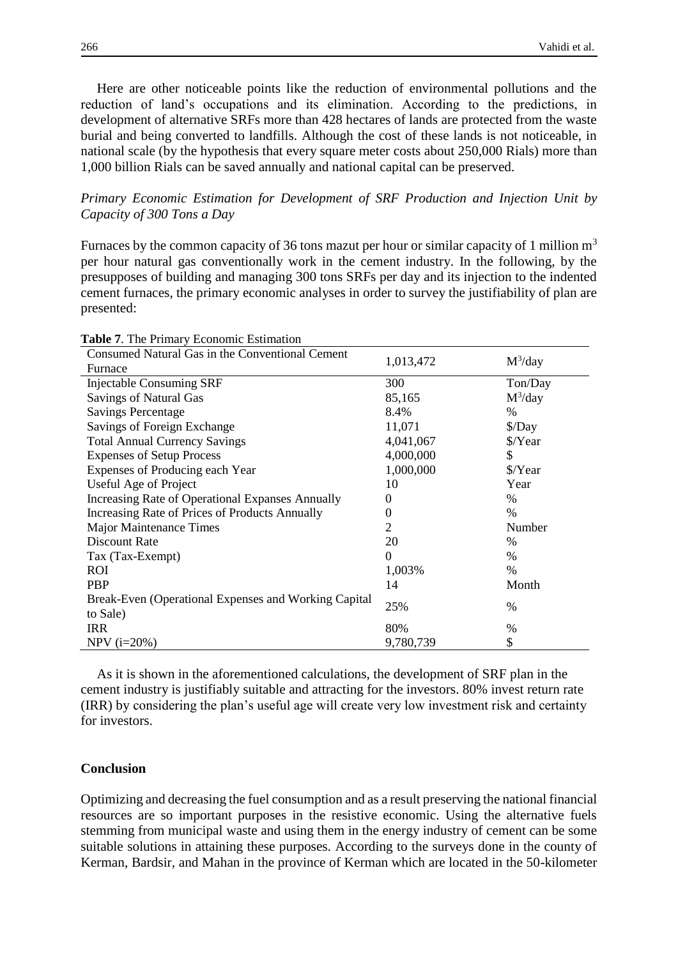Here are other noticeable points like the reduction of environmental pollutions and the reduction of land's occupations and its elimination. According to the predictions, in development of alternative SRFs more than 428 hectares of lands are protected from the waste burial and being converted to landfills. Although the cost of these lands is not noticeable, in national scale (by the hypothesis that every square meter costs about 250,000 Rials) more than 1,000 billion Rials can be saved annually and national capital can be preserved.

## *Primary Economic Estimation for Development of SRF Production and Injection Unit by Capacity of 300 Tons a Day*

Furnaces by the common capacity of 36 tons mazut per hour or similar capacity of 1 million  $m<sup>3</sup>$ per hour natural gas conventionally work in the cement industry. In the following, by the presupposes of building and managing 300 tons SRFs per day and its injection to the indented cement furnaces, the primary economic analyses in order to survey the justifiability of plan are presented:

| $\mu$ <sub>0</sub> $\mu$ , $\mu$ <sub>1</sub> $\mu$ <sub>1</sub> $\mu$ <sub>1</sub> $\mu$ <sub>1</sub> $\mu$ <sub>1</sub> $\mu$ <sub>1</sub> $\mu$ <sub>1</sub> $\mu$ <sub>1</sub> $\mu$ <sub>1</sub> $\mu$ <sub>1</sub> $\mu$ <sub>1</sub> $\mu$ <sub>1</sub> $\mu$ <sub>1</sub> $\mu$ <sub>1</sub> $\mu$ <sub>1</sub> $\mu$ <sub>1</sub> $\mu$ <sub>1</sub> $\mu$ <sub>1</sub> $\mu$ <sub>1</sub> $\mu$ <sub>1</sub> $\mu$ <sub>1</sub> $\mu$ <sub>1</sub> $\mu$ <sub>1</sub> $\mu$ <sub>1</sub> $\mu$ <sub>1</sub> $\mu$ <sub>1</sub> |                |               |
|------------------------------------------------------------------------------------------------------------------------------------------------------------------------------------------------------------------------------------------------------------------------------------------------------------------------------------------------------------------------------------------------------------------------------------------------------------------------------------------------------------------------------------------|----------------|---------------|
| Consumed Natural Gas in the Conventional Cement                                                                                                                                                                                                                                                                                                                                                                                                                                                                                          | 1,013,472      | $M^3$ /day    |
| Furnace                                                                                                                                                                                                                                                                                                                                                                                                                                                                                                                                  |                |               |
| <b>Injectable Consuming SRF</b>                                                                                                                                                                                                                                                                                                                                                                                                                                                                                                          | 300            | Ton/Day       |
| <b>Savings of Natural Gas</b>                                                                                                                                                                                                                                                                                                                                                                                                                                                                                                            | 85,165         | $M^3$ /day    |
| <b>Savings Percentage</b>                                                                                                                                                                                                                                                                                                                                                                                                                                                                                                                | 8.4%           | $\frac{0}{0}$ |
| Savings of Foreign Exchange                                                                                                                                                                                                                                                                                                                                                                                                                                                                                                              | 11,071         | $\angle$ Day  |
| <b>Total Annual Currency Savings</b>                                                                                                                                                                                                                                                                                                                                                                                                                                                                                                     | 4,041,067      | \$/Year       |
| <b>Expenses of Setup Process</b>                                                                                                                                                                                                                                                                                                                                                                                                                                                                                                         | 4,000,000      | \$            |
| Expenses of Producing each Year                                                                                                                                                                                                                                                                                                                                                                                                                                                                                                          | 1,000,000      | \$/Year       |
| Useful Age of Project                                                                                                                                                                                                                                                                                                                                                                                                                                                                                                                    | 10             | Year          |
| Increasing Rate of Operational Expanses Annually                                                                                                                                                                                                                                                                                                                                                                                                                                                                                         | $\Omega$       | $\%$          |
| Increasing Rate of Prices of Products Annually                                                                                                                                                                                                                                                                                                                                                                                                                                                                                           | $\Omega$       | $\%$          |
| <b>Major Maintenance Times</b>                                                                                                                                                                                                                                                                                                                                                                                                                                                                                                           | 2              | Number        |
| Discount Rate                                                                                                                                                                                                                                                                                                                                                                                                                                                                                                                            | 20             | $\frac{0}{0}$ |
| Tax (Tax-Exempt)                                                                                                                                                                                                                                                                                                                                                                                                                                                                                                                         | $\overline{0}$ | $\%$          |
| <b>ROI</b>                                                                                                                                                                                                                                                                                                                                                                                                                                                                                                                               | 1,003%         | %             |
| <b>PBP</b>                                                                                                                                                                                                                                                                                                                                                                                                                                                                                                                               | 14             | Month         |
| Break-Even (Operational Expenses and Working Capital                                                                                                                                                                                                                                                                                                                                                                                                                                                                                     | 25%            | $\%$          |
| to Sale)                                                                                                                                                                                                                                                                                                                                                                                                                                                                                                                                 |                |               |
| <b>IRR</b>                                                                                                                                                                                                                                                                                                                                                                                                                                                                                                                               | 80%            | %             |
| $NPV$ ( $i=20%$ )                                                                                                                                                                                                                                                                                                                                                                                                                                                                                                                        | 9,780,739      | \$            |

**Table 7**. The Primary Economic Estimation

As it is shown in the aforementioned calculations, the development of SRF plan in the cement industry is justifiably suitable and attracting for the investors. 80% invest return rate (IRR) by considering the plan's useful age will create very low investment risk and certainty for investors.

## **Conclusion**

Optimizing and decreasing the fuel consumption and as a result preserving the national financial resources are so important purposes in the resistive economic. Using the alternative fuels stemming from municipal waste and using them in the energy industry of cement can be some suitable solutions in attaining these purposes. According to the surveys done in the county of Kerman, Bardsir, and Mahan in the province of Kerman which are located in the 50-kilometer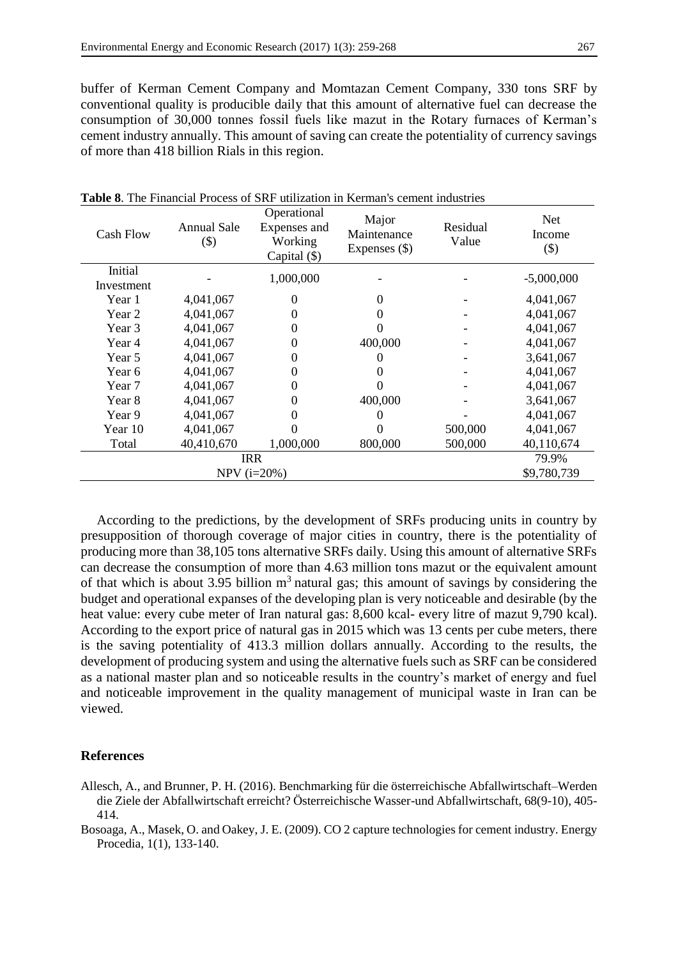buffer of Kerman Cement Company and Momtazan Cement Company, 330 tons SRF by conventional quality is producible daily that this amount of alternative fuel can decrease the consumption of 30,000 tonnes fossil fuels like mazut in the Rotary furnaces of Kerman's cement industry annually. This amount of saving can create the potentiality of currency savings of more than 418 billion Rials in this region.

| <b>Cash Flow</b>      | Annual Sale<br>$(\$)$ | Operational<br>Expenses and<br>Working<br>Capital $(\$)$ | Major<br>Maintenance<br>Expenses $(\$)$ | Residual<br>Value | <b>Net</b><br>Income<br>$(\$)$ |  |  |
|-----------------------|-----------------------|----------------------------------------------------------|-----------------------------------------|-------------------|--------------------------------|--|--|
| Initial<br>Investment |                       | 1,000,000                                                |                                         |                   | $-5,000,000$                   |  |  |
| Year 1                | 4,041,067             | 0                                                        | 0                                       |                   | 4,041,067                      |  |  |
| Year 2                | 4,041,067             |                                                          |                                         |                   | 4,041,067                      |  |  |
| Year 3                | 4,041,067             |                                                          |                                         |                   | 4,041,067                      |  |  |
| Year 4                | 4,041,067             |                                                          | 400,000                                 |                   | 4,041,067                      |  |  |
| Year 5                | 4,041,067             |                                                          |                                         |                   | 3,641,067                      |  |  |
| Year 6                | 4,041,067             |                                                          |                                         |                   | 4,041,067                      |  |  |
| Year 7                | 4,041,067             |                                                          |                                         |                   | 4,041,067                      |  |  |
| Year 8                | 4,041,067             |                                                          | 400,000                                 |                   | 3,641,067                      |  |  |
| Year 9                | 4,041,067             |                                                          | 0                                       |                   | 4,041,067                      |  |  |
| Year 10               | 4,041,067             |                                                          |                                         | 500,000           | 4,041,067                      |  |  |
| Total                 | 40,410,670            | 1,000,000                                                | 800,000                                 | 500,000           | 40,110,674                     |  |  |
|                       | <b>IRR</b>            |                                                          |                                         |                   |                                |  |  |
|                       |                       | $NPV$ ( $i=20%$ )                                        |                                         |                   | \$9,780,739                    |  |  |

**Table 8**. The Financial Process of SRF utilization in Kerman's cement industries

According to the predictions, by the development of SRFs producing units in country by presupposition of thorough coverage of major cities in country, there is the potentiality of producing more than 38,105 tons alternative SRFs daily. Using this amount of alternative SRFs can decrease the consumption of more than 4.63 million tons mazut or the equivalent amount of that which is about 3.95 billion  $m<sup>3</sup>$  natural gas; this amount of savings by considering the budget and operational expanses of the developing plan is very noticeable and desirable (by the heat value: every cube meter of Iran natural gas: 8,600 kcal- every litre of mazut 9,790 kcal). According to the export price of natural gas in 2015 which was 13 cents per cube meters, there is the saving potentiality of 413.3 million dollars annually. According to the results, the development of producing system and using the alternative fuels such as SRF can be considered as a national master plan and so noticeable results in the country's market of energy and fuel and noticeable improvement in the quality management of municipal waste in Iran can be viewed.

#### **References**

Allesch, A., and Brunner, P. H. (2016). Benchmarking für die österreichische Abfallwirtschaft–Werden die Ziele der Abfallwirtschaft erreicht? Österreichische Wasser-und Abfallwirtschaft, 68(9-10), 405- 414.

Bosoaga, A., Masek, O. and Oakey, J. E. (2009). CO 2 capture technologies for cement industry. Energy Procedia, 1(1), 133-140.